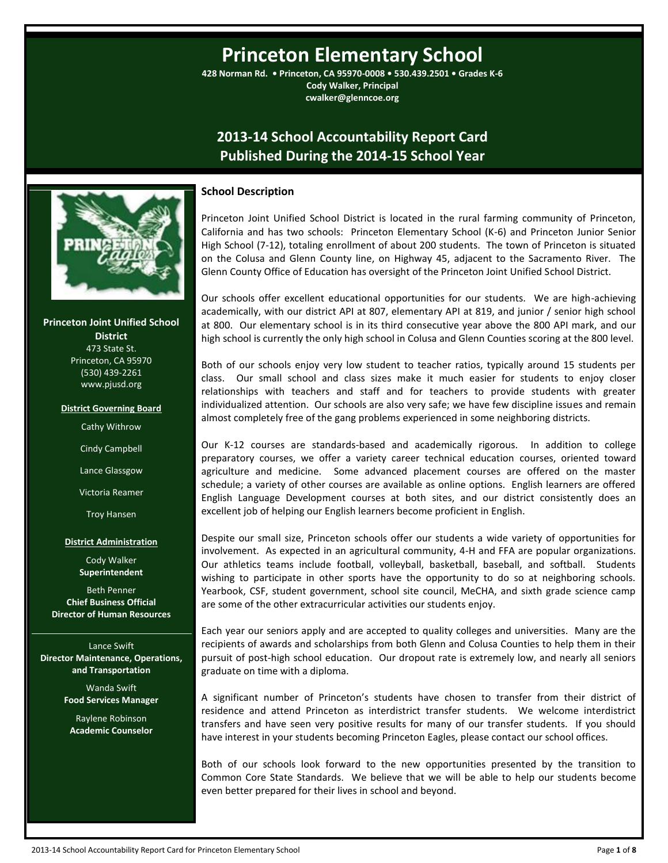# **Princeton Elementary School**

**428 Norman Rd. • Princeton, CA 95970-0008 • 530.439.2501 • Grades K-6 Cody Walker, Principal cwalker@glenncoe.org**

## **2013-14 School Accountability Report Card Published During the 2014-15 School Year**



**Princeton Joint Unified School District** 473 State St. Princeton, CA 95970 (530) 439-2261 www.pjusd.org

#### **District Governing Board**

Cathy Withrow

Cindy Campbell

Lance Glassgow

Victoria Reamer

Troy Hansen

#### **District Administration**

Cody Walker **Superintendent**

Beth Penner **Chief Business Official Director of Human Resources**

Lance Swift **Director Maintenance, Operations, and Transportation**

> Wanda Swift **Food Services Manager**

Raylene Robinson **Academic Counselor**

#### **School Description**

Princeton Joint Unified School District is located in the rural farming community of Princeton, California and has two schools: Princeton Elementary School (K-6) and Princeton Junior Senior High School (7-12), totaling enrollment of about 200 students. The town of Princeton is situated on the Colusa and Glenn County line, on Highway 45, adjacent to the Sacramento River. The Glenn County Office of Education has oversight of the Princeton Joint Unified School District.

Our schools offer excellent educational opportunities for our students. We are high-achieving academically, with our district API at 807, elementary API at 819, and junior / senior high school at 800. Our elementary school is in its third consecutive year above the 800 API mark, and our high school is currently the only high school in Colusa and Glenn Counties scoring at the 800 level.

Both of our schools enjoy very low student to teacher ratios, typically around 15 students per class. Our small school and class sizes make it much easier for students to enjoy closer relationships with teachers and staff and for teachers to provide students with greater individualized attention. Our schools are also very safe; we have few discipline issues and remain almost completely free of the gang problems experienced in some neighboring districts.

Our K-12 courses are standards-based and academically rigorous. In addition to college preparatory courses, we offer a variety career technical education courses, oriented toward agriculture and medicine. Some advanced placement courses are offered on the master schedule; a variety of other courses are available as online options. English learners are offered English Language Development courses at both sites, and our district consistently does an excellent job of helping our English learners become proficient in English.

Despite our small size, Princeton schools offer our students a wide variety of opportunities for involvement. As expected in an agricultural community, 4-H and FFA are popular organizations. Our athletics teams include football, volleyball, basketball, baseball, and softball. Students wishing to participate in other sports have the opportunity to do so at neighboring schools. Yearbook, CSF, student government, school site council, MeCHA, and sixth grade science camp are some of the other extracurricular activities our students enjoy.

Each year our seniors apply and are accepted to quality colleges and universities. Many are the recipients of awards and scholarships from both Glenn and Colusa Counties to help them in their pursuit of post-high school education. Our dropout rate is extremely low, and nearly all seniors graduate on time with a diploma.

A significant number of Princeton's students have chosen to transfer from their district of residence and attend Princeton as interdistrict transfer students. We welcome interdistrict transfers and have seen very positive results for many of our transfer students. If you should have interest in your students becoming Princeton Eagles, please contact our school offices.

Both of our schools look forward to the new opportunities presented by the transition to Common Core State Standards. We believe that we will be able to help our students become even better prepared for their lives in school and beyond.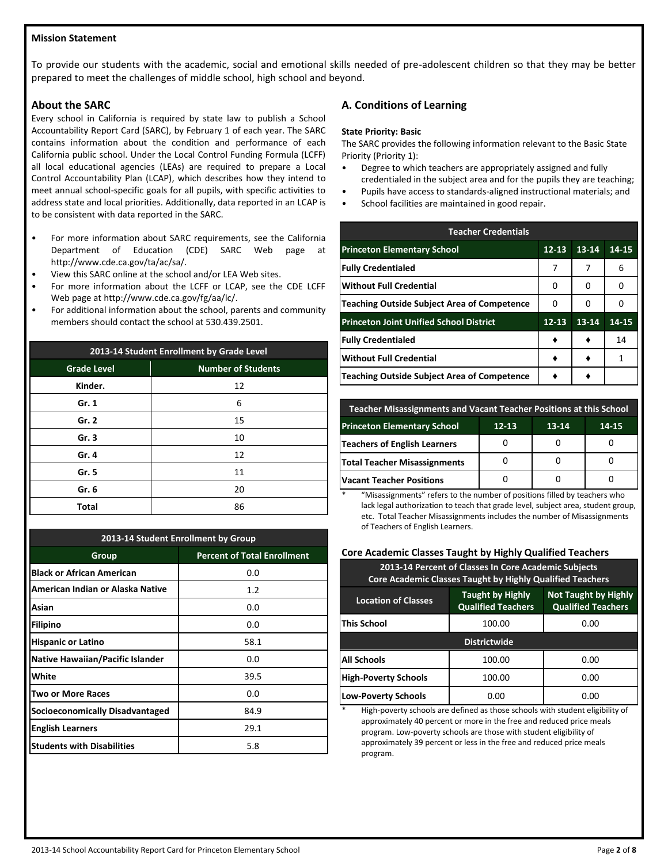### **Mission Statement**

To provide our students with the academic, social and emotional skills needed of pre-adolescent children so that they may be better prepared to meet the challenges of middle school, high school and beyond.

## **About the SARC**

Every school in California is required by state law to publish a School Accountability Report Card (SARC), by February 1 of each year. The SARC contains information about the condition and performance of each California public school. Under the Local Control Funding Formula (LCFF) all local educational agencies (LEAs) are required to prepare a Local Control Accountability Plan (LCAP), which describes how they intend to meet annual school-specific goals for all pupils, with specific activities to address state and local priorities. Additionally, data reported in an LCAP is to be consistent with data reported in the SARC.

- For more information about SARC requirements, see the California Department of Education (CDE) SARC Web page at http://www.cde.ca.gov/ta/ac/sa/.
- View this SARC online at the school and/or LEA Web sites.
- For more information about the LCFF or LCAP, see the CDE LCFF Web page at http://www.cde.ca.gov/fg/aa/lc/.
- For additional information about the school, parents and community members should contact the school at 530.439.2501.

| 2013-14 Student Enrollment by Grade Level |                           |  |  |  |
|-------------------------------------------|---------------------------|--|--|--|
| <b>Grade Level</b>                        | <b>Number of Students</b> |  |  |  |
| Kinder.                                   | 12                        |  |  |  |
| Gr. 1                                     | 6                         |  |  |  |
| Gr. 2                                     | 15                        |  |  |  |
| Gr. 3                                     | 10                        |  |  |  |
| Gr. 4                                     | 12                        |  |  |  |
| Gr. 5                                     | 11                        |  |  |  |
| Gr. 6                                     | 20                        |  |  |  |
| Total                                     | 86                        |  |  |  |

| 2013-14 Student Enrollment by Group    |                                    |  |  |  |
|----------------------------------------|------------------------------------|--|--|--|
| Group                                  | <b>Percent of Total Enrollment</b> |  |  |  |
| <b>Black or African American</b>       | 0.0                                |  |  |  |
| American Indian or Alaska Native       | 1.2                                |  |  |  |
| Asian                                  | 0.0                                |  |  |  |
| <b>Filipino</b>                        | 0.0                                |  |  |  |
| <b>Hispanic or Latino</b>              | 58.1                               |  |  |  |
| Native Hawaiian/Pacific Islander       | 0.0                                |  |  |  |
| White                                  | 39.5                               |  |  |  |
| Two or More Races                      | 0.0                                |  |  |  |
| <b>Socioeconomically Disadvantaged</b> | 84.9                               |  |  |  |
| <b>English Learners</b>                | 29.1                               |  |  |  |
| <b>Students with Disabilities</b>      | 5.8                                |  |  |  |

## **A. Conditions of Learning**

#### **State Priority: Basic**

The SARC provides the following information relevant to the Basic State Priority (Priority 1):

- Degree to which teachers are appropriately assigned and fully credentialed in the subject area and for the pupils they are teaching;
- Pupils have access to standards-aligned instructional materials; and
- School facilities are maintained in good repair.

| <b>Teacher Credentials</b>                         |           |       |       |  |  |
|----------------------------------------------------|-----------|-------|-------|--|--|
| <b>Princeton Elementary School</b>                 | $12 - 13$ | 13-14 | 14-15 |  |  |
| <b>Fully Credentialed</b>                          | 7         | 7     | 6     |  |  |
| <b>Without Full Credential</b>                     | O         | O     | 0     |  |  |
| <b>Teaching Outside Subject Area of Competence</b> | O         | Ω     | O     |  |  |
| <b>Princeton Joint Unified School District</b>     | $12 - 13$ | 13-14 | 14-15 |  |  |
| <b>Fully Credentialed</b>                          |           |       | 14    |  |  |
| <b>Without Full Credential</b>                     |           |       | 1     |  |  |
| <b>Teaching Outside Subject Area of Competence</b> |           |       |       |  |  |

| Teacher Misassignments and Vacant Teacher Positions at this School |  |  |  |  |  |  |
|--------------------------------------------------------------------|--|--|--|--|--|--|
| <b>Princeton Elementary School</b><br>$12 - 13$<br>13-14<br>14-15  |  |  |  |  |  |  |
| Teachers of English Learners                                       |  |  |  |  |  |  |
| <b>Total Teacher Misassignments</b>                                |  |  |  |  |  |  |
| <b>Vacant Teacher Positions</b>                                    |  |  |  |  |  |  |

"Misassignments" refers to the number of positions filled by teachers who lack legal authorization to teach that grade level, subject area, student group, etc. Total Teacher Misassignments includes the number of Misassignments of Teachers of English Learners.

## **Core Academic Classes Taught by Highly Qualified Teachers**

| 2013-14 Percent of Classes In Core Academic Subjects<br>Core Academic Classes Taught by Highly Qualified Teachers |                                                                                                                                                |                                                                               |                              |  |  |  |
|-------------------------------------------------------------------------------------------------------------------|------------------------------------------------------------------------------------------------------------------------------------------------|-------------------------------------------------------------------------------|------------------------------|--|--|--|
|                                                                                                                   | <b>Not Taught by Highly</b><br><b>Taught by Highly</b><br><b>Location of Classes</b><br><b>Qualified Teachers</b><br><b>Qualified Teachers</b> |                                                                               |                              |  |  |  |
|                                                                                                                   | 100.00                                                                                                                                         | <b>This School</b>                                                            |                              |  |  |  |
| <b>Districtwide</b>                                                                                               |                                                                                                                                                |                                                                               |                              |  |  |  |
|                                                                                                                   | 100.00<br>0.00                                                                                                                                 |                                                                               |                              |  |  |  |
|                                                                                                                   | <b>High-Poverty Schools</b><br>100.00<br>0.00                                                                                                  |                                                                               |                              |  |  |  |
|                                                                                                                   | <b>Low-Poverty Schools</b><br>0.00<br>0.00                                                                                                     |                                                                               |                              |  |  |  |
|                                                                                                                   |                                                                                                                                                | Ujeh novortu sebools ara defined as those sebools with student olisibilitus f | <b>All Schools</b><br>$\ast$ |  |  |  |

\* High-poverty schools are defined as those schools with student eligibility of approximately 40 percent or more in the free and reduced price meals program. Low-poverty schools are those with student eligibility of approximately 39 percent or less in the free and reduced price meals program.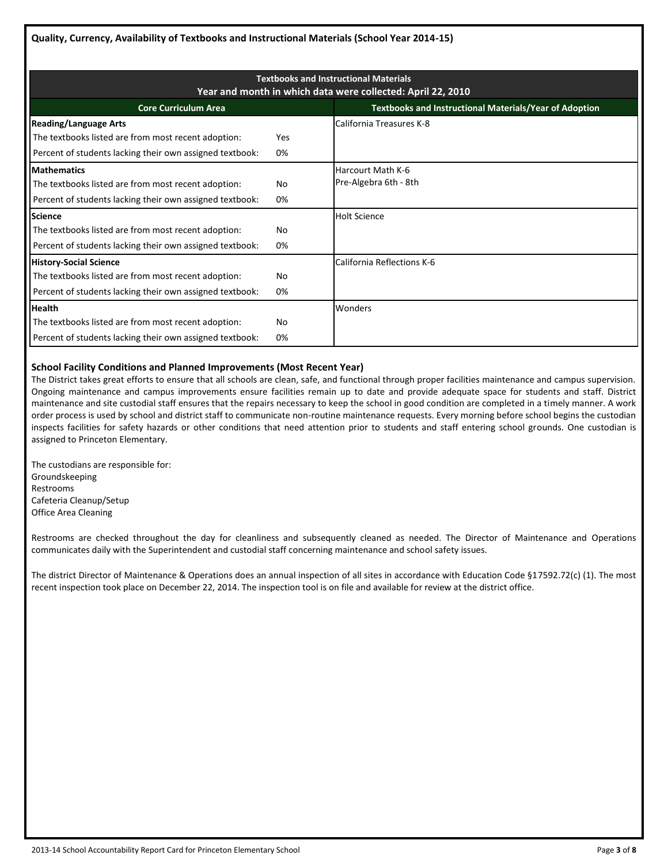| <b>Textbooks and Instructional Materials</b><br>Year and month in which data were collected: April 22, 2010 |            |                                                               |  |  |  |
|-------------------------------------------------------------------------------------------------------------|------------|---------------------------------------------------------------|--|--|--|
| <b>Core Curriculum Area</b>                                                                                 |            | <b>Textbooks and Instructional Materials/Year of Adoption</b> |  |  |  |
| <b>Reading/Language Arts</b>                                                                                |            | California Treasures K-8                                      |  |  |  |
| The textbooks listed are from most recent adoption:                                                         | <b>Yes</b> |                                                               |  |  |  |
| Percent of students lacking their own assigned textbook:                                                    | 0%         |                                                               |  |  |  |
| <b>Mathematics</b>                                                                                          |            | Harcourt Math K-6                                             |  |  |  |
| The textbooks listed are from most recent adoption:                                                         | No         | Pre-Algebra 6th - 8th                                         |  |  |  |
| Percent of students lacking their own assigned textbook:                                                    | 0%         |                                                               |  |  |  |
| <b>Science</b>                                                                                              |            | <b>Holt Science</b>                                           |  |  |  |
| The textbooks listed are from most recent adoption:                                                         | No         |                                                               |  |  |  |
| Percent of students lacking their own assigned textbook:                                                    | 0%         |                                                               |  |  |  |
| <b>History-Social Science</b>                                                                               |            | California Reflections K-6                                    |  |  |  |
| The textbooks listed are from most recent adoption:                                                         | No         |                                                               |  |  |  |
| Percent of students lacking their own assigned textbook:                                                    | 0%         |                                                               |  |  |  |
| <b>Health</b>                                                                                               |            | Wonders                                                       |  |  |  |
| The textbooks listed are from most recent adoption:                                                         | No         |                                                               |  |  |  |
| Percent of students lacking their own assigned textbook:                                                    | 0%         |                                                               |  |  |  |

## **School Facility Conditions and Planned Improvements (Most Recent Year)**

The District takes great efforts to ensure that all schools are clean, safe, and functional through proper facilities maintenance and campus supervision. Ongoing maintenance and campus improvements ensure facilities remain up to date and provide adequate space for students and staff. District maintenance and site custodial staff ensures that the repairs necessary to keep the school in good condition are completed in a timely manner. A work order process is used by school and district staff to communicate non-routine maintenance requests. Every morning before school begins the custodian inspects facilities for safety hazards or other conditions that need attention prior to students and staff entering school grounds. One custodian is assigned to Princeton Elementary.

The custodians are responsible for: Groundskeeping Restrooms Cafeteria Cleanup/Setup Office Area Cleaning

Restrooms are checked throughout the day for cleanliness and subsequently cleaned as needed. The Director of Maintenance and Operations communicates daily with the Superintendent and custodial staff concerning maintenance and school safety issues.

The district Director of Maintenance & Operations does an annual inspection of all sites in accordance with Education Code §17592.72(c) (1). The most recent inspection took place on December 22, 2014. The inspection tool is on file and available for review at the district office.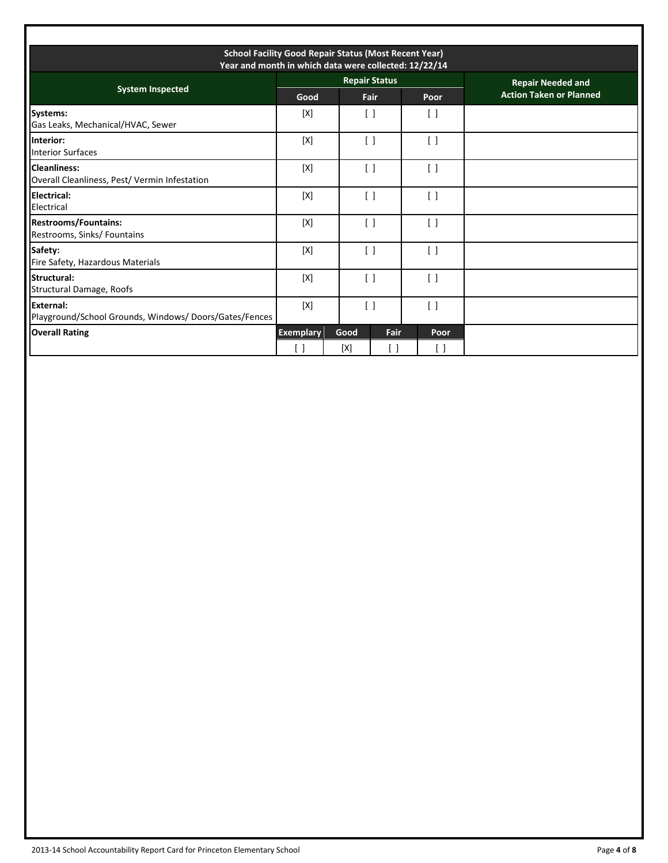| <b>School Facility Good Repair Status (Most Recent Year)</b><br>Year and month in which data were collected: 12/22/14 |                         |             |                                 |                                   |                                |
|-----------------------------------------------------------------------------------------------------------------------|-------------------------|-------------|---------------------------------|-----------------------------------|--------------------------------|
| <b>System Inspected</b>                                                                                               |                         |             | <b>Repair Status</b>            |                                   | <b>Repair Needed and</b>       |
|                                                                                                                       | Good                    |             | Fair                            | Poor                              | <b>Action Taken or Planned</b> |
| Systems:<br>Gas Leaks, Mechanical/HVAC, Sewer                                                                         | [X]                     |             | $\Box$                          | $\lceil$ $\rceil$                 |                                |
| Interior:<br><b>Interior Surfaces</b>                                                                                 | [X]                     |             | $\left[ \ \right]$              | $\left[ \ \right]$                |                                |
| <b>Cleanliness:</b><br>Overall Cleanliness, Pest/ Vermin Infestation                                                  | [X]                     |             | $\left[ \ \right]$              | $\left[ \quad \right]$            |                                |
| <b>Electrical:</b><br>Electrical                                                                                      | $[{\sf X}]$             |             | $\begin{bmatrix} \end{bmatrix}$ | $\begin{bmatrix} \end{bmatrix}$   |                                |
| <b>Restrooms/Fountains:</b><br>Restrooms, Sinks/ Fountains                                                            | [X]                     |             | $\left[ \quad \right]$          | $\left[ \quad \right]$            |                                |
| Safety:<br>Fire Safety, Hazardous Materials                                                                           | [X]                     |             | $\lceil$ $\rceil$               | $\begin{bmatrix} \end{bmatrix}$   |                                |
| Structural:<br>Structural Damage, Roofs                                                                               | [X]                     |             | $\left[ \quad \right]$          | $\left[ \quad \right]$            |                                |
| External:<br>Playground/School Grounds, Windows/Doors/Gates/Fences                                                    | $[{\sf X}]$             |             | $\begin{bmatrix} \end{bmatrix}$ | $\begin{bmatrix} \end{bmatrix}$   |                                |
| <b>Overall Rating</b>                                                                                                 | <b>Exemplary</b><br>[ ] | Good<br>[X] | Fair<br>$\mathsf{L}$            | <b>Poor</b><br>$\left[ \ \right]$ |                                |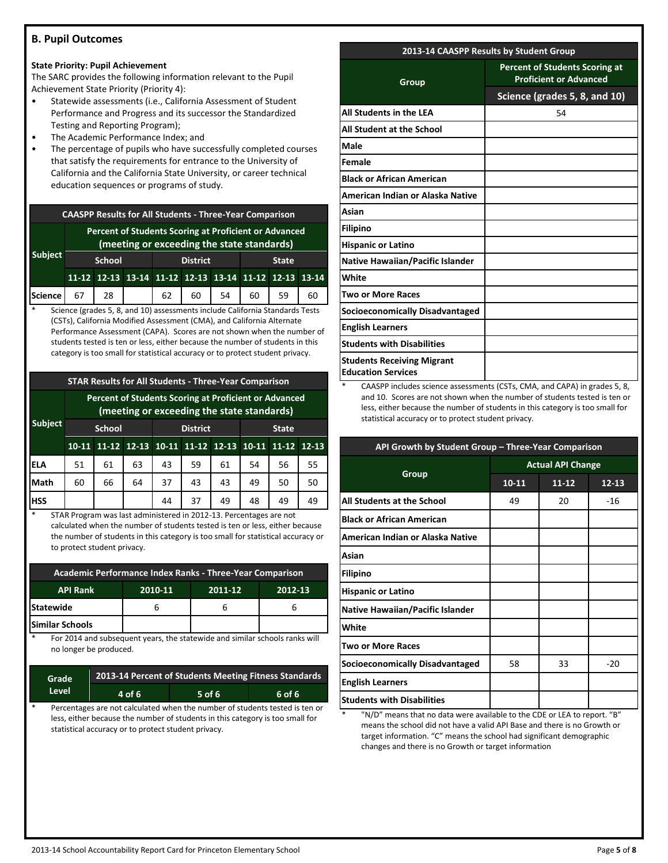## **B. Pupil Outcomes**

## **State Priority: Pupil Achievement**

The SARC provides the following information relevant to the Pupil Achievement State Priority (Priority 4):

- Statewide assessments (i.e., California Assessment of Student Performance and Progress and its successor the Standardized Testing and Reporting Program);
- The Academic Performance Index; and
- The percentage of pupils who have successfully completed courses that satisfy the requirements for entrance to the University of California and the California State University, or career technical education sequences or programs of study.

| <b>CAASPP Results for All Students - Three-Year Comparison</b> |                                                                                                     |    |  |                 |                                                 |    |              |    |       |
|----------------------------------------------------------------|-----------------------------------------------------------------------------------------------------|----|--|-----------------|-------------------------------------------------|----|--------------|----|-------|
|                                                                | Percent of Students Scoring at Proficient or Advanced<br>(meeting or exceeding the state standards) |    |  |                 |                                                 |    |              |    |       |
| Subject                                                        | <b>School</b>                                                                                       |    |  | <b>District</b> |                                                 |    | <b>State</b> |    |       |
|                                                                |                                                                                                     |    |  |                 | 11-12 12-13 13-14 11-12 12-13 13-14 11-12 12-13 |    |              |    | 13-14 |
| Science                                                        | 67                                                                                                  | 28 |  | $62 \quad$      | 60                                              | 54 | 60           | 59 | 60    |

Science (grades 5, 8, and 10) assessments include California Standards Tests (CSTs), California Modified Assessment (CMA), and California Alternate Performance Assessment (CAPA). Scores are not shown when the number of students tested is ten or less, either because the number of students in this category is too small for statistical accuracy or to protect student privacy.

## **STAR Results for All Students - Three-Year Comparison**

|                |               | Percent of Students Scoring at Proficient or Advanced<br>(meeting or exceeding the state standards) |                 |    |                                                 |              |    |    |    |  |
|----------------|---------------|-----------------------------------------------------------------------------------------------------|-----------------|----|-------------------------------------------------|--------------|----|----|----|--|
| <b>Subject</b> | <b>School</b> |                                                                                                     | <b>District</b> |    |                                                 | <b>State</b> |    |    |    |  |
|                | $10-11$       |                                                                                                     |                 |    | 11-12 12-13 10-11 11-12 12-13 10-11 11-12 12-13 |              |    |    |    |  |
| ELA            | 51            | 61                                                                                                  | 63              | 43 | 59                                              | 61           | 54 | 56 | 55 |  |
| Math           | 60            | 66                                                                                                  | 64              | 37 | 43                                              | 43           | 49 | 50 | 50 |  |
| <b>HSS</b>     |               |                                                                                                     |                 | 44 | 37                                              | 49           | 48 | 49 | 49 |  |

STAR Program was last administered in 2012-13. Percentages are not calculated when the number of students tested is ten or less, either because the number of students in this category is too small for statistical accuracy or to protect student privacy.

| Academic Performance Index Ranks - Three-Year Comparison |  |  |  |  |  |  |
|----------------------------------------------------------|--|--|--|--|--|--|
| 2010-11<br><b>API Rank</b><br>2012-13<br>2011-12         |  |  |  |  |  |  |
| <b>Statewide</b>                                         |  |  |  |  |  |  |
| <b>Similar Schools</b>                                   |  |  |  |  |  |  |

For 2014 and subsequent years, the statewide and similar schools ranks will no longer be produced.

| Grade   | 2013-14 Percent of Students Meeting Fitness Standards |        |        |  |  |  |
|---------|-------------------------------------------------------|--------|--------|--|--|--|
| 'Level. | 4 of 6                                                | 5 of 6 | 6 of 6 |  |  |  |
|         |                                                       |        |        |  |  |  |

Percentages are not calculated when the number of students tested is ten or less, either because the number of students in this category is too small for statistical accuracy or to protect student privacy.

## **2013-14 CAASPP Results by Student Group**

| Group                                                          | <b>Percent of Students Scoring at</b><br><b>Proficient or Advanced</b> |
|----------------------------------------------------------------|------------------------------------------------------------------------|
|                                                                | Science (grades 5, 8, and 10)                                          |
| All Students in the LEA                                        | 54                                                                     |
| All Student at the School                                      |                                                                        |
| Male                                                           |                                                                        |
| Female                                                         |                                                                        |
| <b>Black or African American</b>                               |                                                                        |
| American Indian or Alaska Native                               |                                                                        |
| Asian                                                          |                                                                        |
| <b>Filipino</b>                                                |                                                                        |
| <b>Hispanic or Latino</b>                                      |                                                                        |
| <b>Native Hawaiian/Pacific Islander</b>                        |                                                                        |
| White                                                          |                                                                        |
| <b>Two or More Races</b>                                       |                                                                        |
| <b>Socioeconomically Disadvantaged</b>                         |                                                                        |
| <b>English Learners</b>                                        |                                                                        |
| <b>Students with Disabilities</b>                              |                                                                        |
| <b>Students Receiving Migrant</b><br><b>Education Services</b> |                                                                        |

CAASPP includes science assessments (CSTs, CMA, and CAPA) in grades 5, 8, and 10. Scores are not shown when the number of students tested is ten or less, either because the number of students in this category is too small for statistical accuracy or to protect student privacy.

| API Growth by Student Group - Three-Year Comparison |                          |           |           |  |  |  |
|-----------------------------------------------------|--------------------------|-----------|-----------|--|--|--|
|                                                     | <b>Actual API Change</b> |           |           |  |  |  |
| Group                                               | $10 - 11$                | $11 - 12$ | $12 - 13$ |  |  |  |
| All Students at the School                          | 49                       | 20        | $-16$     |  |  |  |
| <b>Black or African American</b>                    |                          |           |           |  |  |  |
| American Indian or Alaska Native                    |                          |           |           |  |  |  |
| Asian                                               |                          |           |           |  |  |  |
| <b>Filipino</b>                                     |                          |           |           |  |  |  |
| <b>Hispanic or Latino</b>                           |                          |           |           |  |  |  |
| Native Hawaiian/Pacific Islander                    |                          |           |           |  |  |  |
| White                                               |                          |           |           |  |  |  |
| <b>Two or More Races</b>                            |                          |           |           |  |  |  |
| <b>Socioeconomically Disadvantaged</b>              | 58                       | 33        | $-20$     |  |  |  |
| <b>English Learners</b>                             |                          |           |           |  |  |  |
| <b>Students with Disabilities</b>                   |                          |           |           |  |  |  |
|                                                     |                          |           |           |  |  |  |

"N/D" means that no data were available to the CDE or LEA to report. "B" means the school did not have a valid API Base and there is no Growth or target information. "C" means the school had significant demographic changes and there is no Growth or target information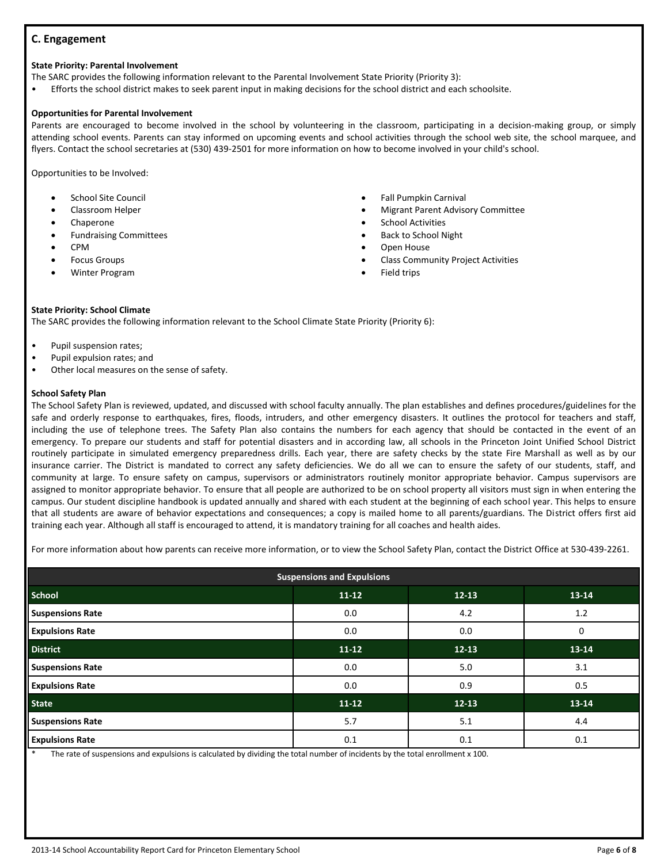## **C. Engagement**

#### **State Priority: Parental Involvement**

The SARC provides the following information relevant to the Parental Involvement State Priority (Priority 3):

• Efforts the school district makes to seek parent input in making decisions for the school district and each schoolsite.

#### **Opportunities for Parental Involvement**

Parents are encouraged to become involved in the school by volunteering in the classroom, participating in a decision-making group, or simply attending school events. Parents can stay informed on upcoming events and school activities through the school web site, the school marquee, and flyers. Contact the school secretaries at (530) 439-2501 for more information on how to become involved in your child's school.

Opportunities to be Involved:

- School Site Council
- Classroom Helper
- Chaperone
- Fundraising Committees
- CPM
- Focus Groups
- Winter Program
- Fall Pumpkin Carnival
- Migrant Parent Advisory Committee
- School Activities
- Back to School Night
- Open House
- Class Community Project Activities
- Field trips

#### **State Priority: School Climate**

The SARC provides the following information relevant to the School Climate State Priority (Priority 6):

- Pupil suspension rates;
- Pupil expulsion rates; and
- Other local measures on the sense of safety.

#### **School Safety Plan**

The School Safety Plan is reviewed, updated, and discussed with school faculty annually. The plan establishes and defines procedures/guidelines for the safe and orderly response to earthquakes, fires, floods, intruders, and other emergency disasters. It outlines the protocol for teachers and staff, including the use of telephone trees. The Safety Plan also contains the numbers for each agency that should be contacted in the event of an emergency. To prepare our students and staff for potential disasters and in according law, all schools in the Princeton Joint Unified School District routinely participate in simulated emergency preparedness drills. Each year, there are safety checks by the state Fire Marshall as well as by our insurance carrier. The District is mandated to correct any safety deficiencies. We do all we can to ensure the safety of our students, staff, and community at large. To ensure safety on campus, supervisors or administrators routinely monitor appropriate behavior. Campus supervisors are assigned to monitor appropriate behavior. To ensure that all people are authorized to be on school property all visitors must sign in when entering the campus. Our student discipline handbook is updated annually and shared with each student at the beginning of each school year. This helps to ensure that all students are aware of behavior expectations and consequences; a copy is mailed home to all parents/guardians. The District offers first aid training each year. Although all staff is encouraged to attend, it is mandatory training for all coaches and health aides.

For more information about how parents can receive more information, or to view the School Safety Plan, contact the District Office at 530-439-2261.

| <b>Suspensions and Expulsions</b> |           |           |       |  |  |  |
|-----------------------------------|-----------|-----------|-------|--|--|--|
| <b>School</b>                     | $11 - 12$ | $12 - 13$ | 13-14 |  |  |  |
| <b>Suspensions Rate</b>           | 0.0       | 4.2       | 1.2   |  |  |  |
| <b>Expulsions Rate</b>            | 0.0       | 0.0       | 0     |  |  |  |
| <b>District</b>                   | $11-12$   | $12 - 13$ | 13-14 |  |  |  |
| <b>Suspensions Rate</b>           | 0.0       | 5.0       | 3.1   |  |  |  |
| <b>Expulsions Rate</b>            | 0.0       | 0.9       | 0.5   |  |  |  |
| <b>State</b>                      | $11 - 12$ | $12 - 13$ | 13-14 |  |  |  |
| <b>Suspensions Rate</b>           | 5.7       | 5.1       | 4.4   |  |  |  |
| <b>Expulsions Rate</b>            | 0.1       | 0.1       | 0.1   |  |  |  |

The rate of suspensions and expulsions is calculated by dividing the total number of incidents by the total enrollment x 100.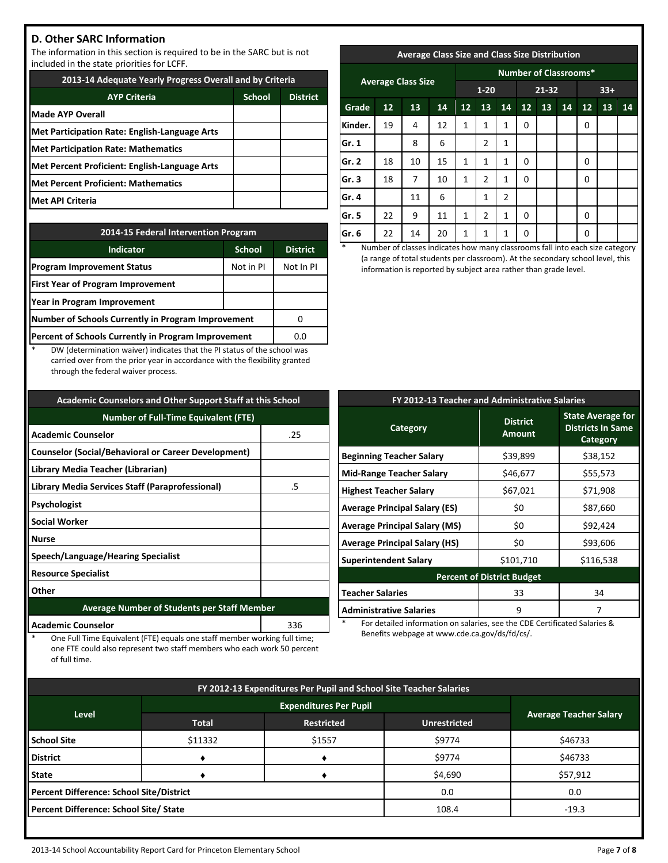## **D. Other SARC Information**

The information in this section is required to be in the SARC but is not included in the state priorities for LCFF.

| 2013-14 Adequate Yearly Progress Overall and by Criteria |               |                 |  |  |  |
|----------------------------------------------------------|---------------|-----------------|--|--|--|
| <b>AYP Criteria</b>                                      | <b>School</b> | <b>District</b> |  |  |  |
| <b>Made AYP Overall</b>                                  |               |                 |  |  |  |
| Met Participation Rate: English-Language Arts            |               |                 |  |  |  |
| <b>Met Participation Rate: Mathematics</b>               |               |                 |  |  |  |
| Met Percent Proficient: English-Language Arts            |               |                 |  |  |  |
| <b>Met Percent Proficient: Mathematics</b>               |               |                 |  |  |  |
| Met API Criteria                                         |               |                 |  |  |  |

| 2014-15 Federal Intervention Program                |                 |           |  |  |  |
|-----------------------------------------------------|-----------------|-----------|--|--|--|
| <b>Indicator</b>                                    | <b>District</b> |           |  |  |  |
| <b>Program Improvement Status</b>                   | Not in PI       | Not In PI |  |  |  |
| <b>First Year of Program Improvement</b>            |                 |           |  |  |  |
| Year in Program Improvement                         |                 |           |  |  |  |
| Number of Schools Currently in Program Improvement  |                 |           |  |  |  |
| Percent of Schools Currently in Program Improvement | 0.0             |           |  |  |  |

DW (determination waiver) indicates that the PI status of the school was carried over from the prior year in accordance with the flexibility granted through the federal waiver process.

| <b>Academic Counselors and Other Support Staff at this School</b> |     |  |  |  |
|-------------------------------------------------------------------|-----|--|--|--|
| <b>Number of Full-Time Equivalent (FTE)</b>                       |     |  |  |  |
| <b>Academic Counselor</b>                                         | .25 |  |  |  |
| <b>Counselor (Social/Behavioral or Career Development)</b>        |     |  |  |  |
| Library Media Teacher (Librarian)                                 |     |  |  |  |
| <b>Library Media Services Staff (Paraprofessional)</b>            | .5  |  |  |  |
| Psychologist                                                      |     |  |  |  |
| <b>Social Worker</b>                                              |     |  |  |  |
| Nurse                                                             |     |  |  |  |
| Speech/Language/Hearing Specialist                                |     |  |  |  |
| <b>Resource Specialist</b>                                        |     |  |  |  |
| Other                                                             |     |  |  |  |
| <b>Average Number of Students per Staff Member</b>                |     |  |  |  |
|                                                                   |     |  |  |  |

## **Academic Counselor** and a state of the state of the state of the state of the state of the state of the state of the state of the state of the state of the state of the state of the state of the state of the state of the

One Full Time Equivalent (FTE) equals one staff member working full time; one FTE could also represent two staff members who each work 50 percent of full time.

## **Average Class Size and Class Size Distribution**

| <b>Average Class Size</b> |    |    |    | <b>Number of Classrooms*</b> |                |              |          |       |    |    |    |    |
|---------------------------|----|----|----|------------------------------|----------------|--------------|----------|-------|----|----|----|----|
|                           |    |    |    | $1 - 20$                     |                | 21-32        |          | $33+$ |    |    |    |    |
| Grade                     | 12 | 13 | 14 | 12                           | 13             | 14           | 12       | 13    | 14 | 12 | 13 | 14 |
| Kinder.                   | 19 | 4  | 12 | 1                            | 1              | 1            | 0        |       |    | 0  |    |    |
| Gr. 1                     |    | 8  | 6  |                              | $\overline{2}$ | 1            |          |       |    |    |    |    |
| Gr. 2                     | 18 | 10 | 15 | 1                            | 1              | $\mathbf{1}$ | $\Omega$ |       |    | 0  |    |    |
| Gr. 3                     | 18 | 7  | 10 | 1                            | $\overline{2}$ | $\mathbf{1}$ | $\Omega$ |       |    | 0  |    |    |
| Gr. 4                     |    | 11 | 6  |                              | 1              | 2            |          |       |    |    |    |    |
| Gr. 5                     | 22 | 9  | 11 | 1                            | $\overline{2}$ | 1            | $\Omega$ |       |    | 0  |    |    |
| Gr. 6                     | 22 | 14 | 20 | 1                            | 1              | 1            | 0        |       |    | 0  |    |    |

Number of classes indicates how many classrooms fall into each size category (a range of total students per classroom). At the secondary school level, this information is reported by subject area rather than grade level.

| FY 2012-13 Teacher and Administrative Salaries |                                  |                                                                  |  |  |  |  |
|------------------------------------------------|----------------------------------|------------------------------------------------------------------|--|--|--|--|
| Category                                       | <b>District</b><br><b>Amount</b> | <b>State Average for</b><br><b>Districts In Same</b><br>Category |  |  |  |  |
| <b>Beginning Teacher Salary</b>                | \$39,899                         | \$38,152                                                         |  |  |  |  |
| <b>Mid-Range Teacher Salary</b>                | \$46,677                         | \$55,573                                                         |  |  |  |  |
| <b>Highest Teacher Salary</b>                  | \$67,021                         | \$71,908                                                         |  |  |  |  |
| <b>Average Principal Salary (ES)</b>           | \$0                              | \$87,660                                                         |  |  |  |  |
| <b>Average Principal Salary (MS)</b>           | \$0                              | \$92,424                                                         |  |  |  |  |
| <b>Average Principal Salary (HS)</b>           | \$0                              | \$93,606                                                         |  |  |  |  |
| <b>Superintendent Salary</b>                   | \$101,710                        | \$116,538                                                        |  |  |  |  |
| <b>Percent of District Budget</b>              |                                  |                                                                  |  |  |  |  |
| <b>Teacher Salaries</b>                        | 33                               | 34                                                               |  |  |  |  |
| <b>Administrative Salaries</b>                 | 9                                | 7                                                                |  |  |  |  |

For detailed information on salaries, see the CDE Certificated Salaries & Benefits webpage at www.cde.ca.gov/ds/fd/cs/.

| FY 2012-13 Expenditures Per Pupil and School Site Teacher Salaries |              |                   |                     |                               |  |  |
|--------------------------------------------------------------------|--------------|-------------------|---------------------|-------------------------------|--|--|
|                                                                    |              |                   |                     |                               |  |  |
| Level                                                              | <b>Total</b> | <b>Restricted</b> | <b>Unrestricted</b> | <b>Average Teacher Salary</b> |  |  |
| <b>School Site</b>                                                 | \$11332      | \$1557            | \$9774              | \$46733                       |  |  |
| <b>District</b>                                                    |              |                   | \$9774              | \$46733                       |  |  |
| <b>State</b>                                                       |              |                   | \$4,690             | \$57,912                      |  |  |
| Percent Difference: School Site/District                           |              |                   | 0.0                 | 0.0                           |  |  |
| Percent Difference: School Site/ State                             |              |                   | 108.4               | $-19.3$                       |  |  |